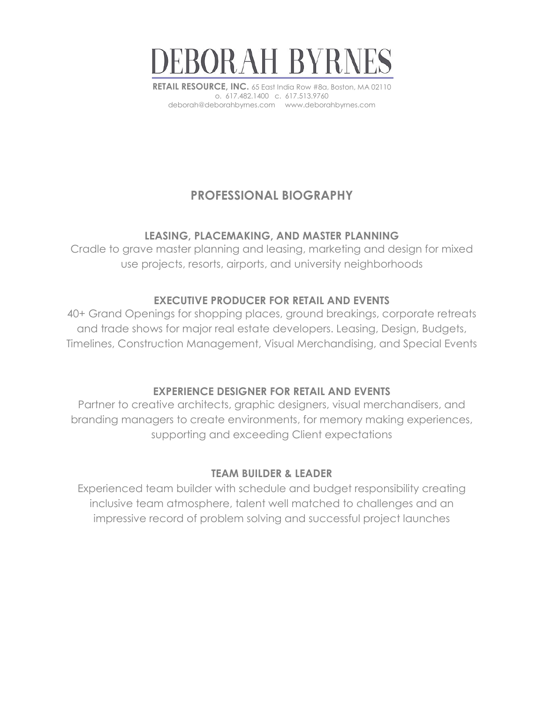

**RETAIL RESOURCE, INC.** 65 East India Row #8a, Boston, MA 02110 o. 617.482.1400 c. 617.513.9760 deborah@deborahbyrnes.com www.deborahbyrnes.com

## **PROFESSIONAL BIOGRAPHY**

## **LEASING, PLACEMAKING, AND MASTER PLANNING**

Cradle to grave master planning and leasing, marketing and design for mixed use projects, resorts, airports, and university neighborhoods

## **EXECUTIVE PRODUCER FOR RETAIL AND EVENTS**

40+ Grand Openings for shopping places, ground breakings, corporate retreats and trade shows for major real estate developers. Leasing, Design, Budgets, Timelines, Construction Management, Visual Merchandising, and Special Events

## **EXPERIENCE DESIGNER FOR RETAIL AND EVENTS**

Partner to creative architects, graphic designers, visual merchandisers, and branding managers to create environments, for memory making experiences, supporting and exceeding Client expectations

## **TEAM BUILDER & LEADER**

Experienced team builder with schedule and budget responsibility creating inclusive team atmosphere, talent well matched to challenges and an impressive record of problem solving and successful project launches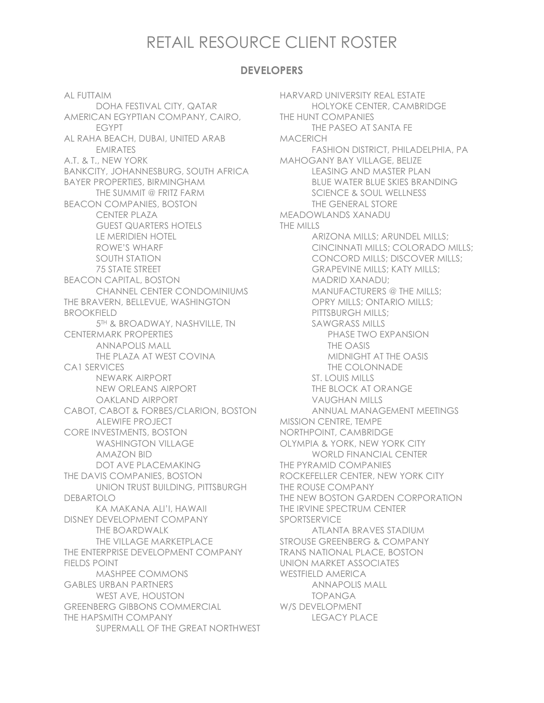# RETAIL RESOURCE CLIENT ROSTER

#### **DEVELOPERS**

AL FUTTAIM DOHA FESTIVAL CITY, QATAR AMERICAN EGYPTIAN COMPANY, CAIRO, EGYPT AL RAHA BEACH, DUBAI, UNITED ARAB EMIRATES A.T. & T., NEW YORK BANKCITY, JOHANNESBURG, SOUTH AFRICA BAYER PROPERTIES, BIRMINGHAM THE SUMMIT @ FRITZ FARM BEACON COMPANIES, BOSTON CENTER PLAZA GUEST QUARTERS HOTELS LE MERIDIEN HOTEL ROWE'S WHARF SOUTH STATION 75 STATE STREET BEACON CAPITAL, BOSTON CHANNEL CENTER CONDOMINIUMS THE BRAVERN, BELLEVUE, WASHINGTON BROOKFIELD 5TH & BROADWAY, NASHVILLE, TN CENTERMARK PROPERTIES ANNAPOLIS MALL THE PLAZA AT WEST COVINA CA1 SERVICES NEWARK AIRPORT NEW ORLEANS AIRPORT OAKLAND AIRPORT CABOT, CABOT & FORBES/CLARION, BOSTON ALEWIFE PROJECT CORE INVESTMENTS, BOSTON WASHINGTON VILLAGE AMAZON BID DOT AVE PLACEMAKING THE DAVIS COMPANIES, BOSTON UNION TRUST BUILDING, PITTSBURGH DEBARTOLO KA MAKANA ALI'I, HAWAII DISNEY DEVELOPMENT COMPANY THE BOARDWALK THE VILLAGE MARKETPLACE THE ENTERPRISE DEVELOPMENT COMPANY FIELDS POINT MASHPEE COMMONS GABLES URBAN PARTNERS WEST AVE, HOUSTON GREENBERG GIBBONS COMMERCIAL THE HAPSMITH COMPANY SUPERMALL OF THE GREAT NORTHWEST

HARVARD UNIVERSITY REAL ESTATE HOLYOKE CENTER, CAMBRIDGE THE HUNT COMPANIES THE PASEO AT SANTA FE MACERICH FASHION DISTRICT, PHILADELPHIA, PA MAHOGANY BAY VILLAGE, BELIZE LEASING AND MASTER PLAN BLUE WATER BLUE SKIES BRANDING SCIENCE & SOUL WELLNESS THE GENERAL STORE MEADOWLANDS XANADU THE MILLS ARIZONA MILLS; ARUNDEL MILLS; CINCINNATI MILLS; COLORADO MILLS; CONCORD MILLS; DISCOVER MILLS; GRAPEVINE MILLS; KATY MILLS; MADRID XANADU; MANUFACTURERS @ THE MILLS; OPRY MILLS; ONTARIO MILLS; PITTSBURGH MILLS; SAWGRASS MILLS PHASE TWO EXPANSION THE OASIS MIDNIGHT AT THE OASIS THE COLONNADE ST. LOUIS MILLS THE BLOCK AT ORANGE VAUGHAN MILLS ANNUAL MANAGEMENT MEETINGS MISSION CENTRE, TEMPE NORTHPOINT, CAMBRIDGE OLYMPIA & YORK, NEW YORK CITY WORLD FINANCIAL CENTER THE PYRAMID COMPANIES ROCKEFELLER CENTER, NEW YORK CITY THE ROUSE COMPANY THE NEW BOSTON GARDEN CORPORATION THE IRVINE SPECTRUM CENTER SPORTSERVICE ATLANTA BRAVES STADIUM STROUSE GREENBERG & COMPANY TRANS NATIONAL PLACE, BOSTON UNION MARKET ASSOCIATES WESTFIELD AMERICA ANNAPOLIS MALL TOPANGA W/S DEVELOPMENT LEGACY PLACE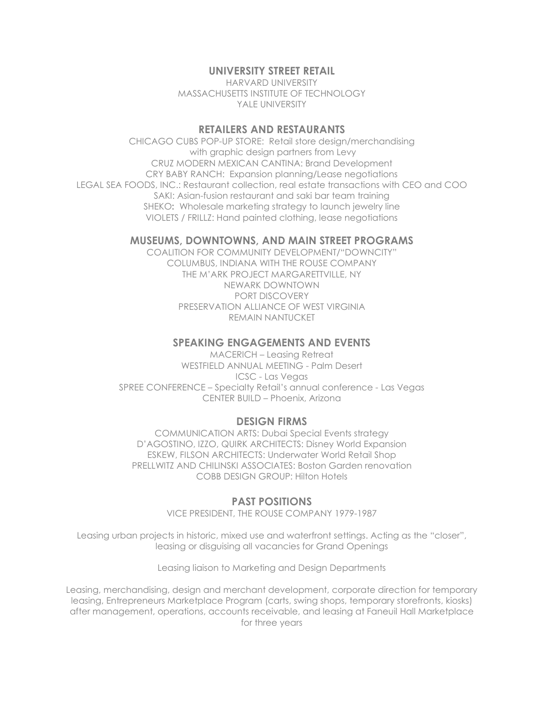#### **UNIVERSITY STREET RETAIL**

HARVARD UNIVERSITY MASSACHUSETTS INSTITUTE OF TECHNOLOGY YALE UNIVERSITY

#### **RETAILERS AND RESTAURANTS**

CHICAGO CUBS POP-UP STORE: Retail store design/merchandising with graphic design partners from Levy CRUZ MODERN MEXICAN CANTINA: Brand Development CRY BABY RANCH: Expansion planning/Lease negotiations LEGAL SEA FOODS, INC.: Restaurant collection, real estate transactions with CEO and COO SAKI: Asian-fusion restaurant and saki bar team training SHEKO**:** Wholesale marketing strategy to launch jewelry line VIOLETS / FRILLZ: Hand painted clothing, lease negotiations

#### **MUSEUMS, DOWNTOWNS, AND MAIN STREET PROGRAMS**

COALITION FOR COMMUNITY DEVELOPMENT/"DOWNCITY" COLUMBUS, INDIANA WITH THE ROUSE COMPANY THE M'ARK PROJECT MARGARETTVILLE, NY NEWARK DOWNTOWN PORT DISCOVERY PRESERVATION ALLIANCE OF WEST VIRGINIA REMAIN NANTUCKET

#### **SPEAKING ENGAGEMENTS AND EVENTS**

MACERICH – Leasing Retreat WESTFIELD ANNUAL MEETING - Palm Desert ICSC - Las Vegas SPREE CONFERENCE – Specialty Retail's annual conference *-* Las Vegas CENTER BUILD – Phoenix, Arizona

#### **DESIGN FIRMS**

COMMUNICATION ARTS: Dubai Special Events strategy D'AGOSTINO, IZZO, QUIRK ARCHITECTS: Disney World Expansion ESKEW, FILSON ARCHITECTS: Underwater World Retail Shop PRELLWITZ AND CHILINSKI ASSOCIATES: Boston Garden renovation COBB DESIGN GROUP: Hilton Hotels

#### **PAST POSITIONS**

VICE PRESIDENT, THE ROUSE COMPANY 1979-1987

Leasing urban projects in historic, mixed use and waterfront settings. Acting as the "closer", leasing or disguising all vacancies for Grand Openings

Leasing liaison to Marketing and Design Departments

Leasing, merchandising, design and merchant development, corporate direction for temporary leasing, Entrepreneurs Marketplace Program (carts, swing shops, temporary storefronts, kiosks) after management, operations, accounts receivable, and leasing at Faneuil Hall Marketplace for three years